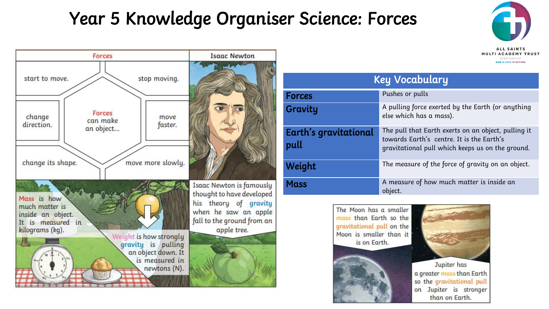## Year 5 Knowledge Organiser Science: Forces





| <b>Key Vocabulary</b>                |                                                                                                                                                      |
|--------------------------------------|------------------------------------------------------------------------------------------------------------------------------------------------------|
| <b>Forces</b>                        | Pushes or pulls                                                                                                                                      |
| Gravity                              | A pulling force exerted by the Earth (or anything<br>else which has a mass).                                                                         |
| <b>Earth's gravitational</b><br>pull | The pull that Earth exerts on an object, pulling it<br>towards Earth's centre. It is the Earth's<br>gravitational pull which keeps us on the ground. |
| Weight                               | The measure of the force of gravity on an object.                                                                                                    |
| <b>Mass</b>                          | A measure of how much matter is inside an<br>object.                                                                                                 |







a greater mass than Earth so the gravitational pull on Jupiter is stronger than on Earth.